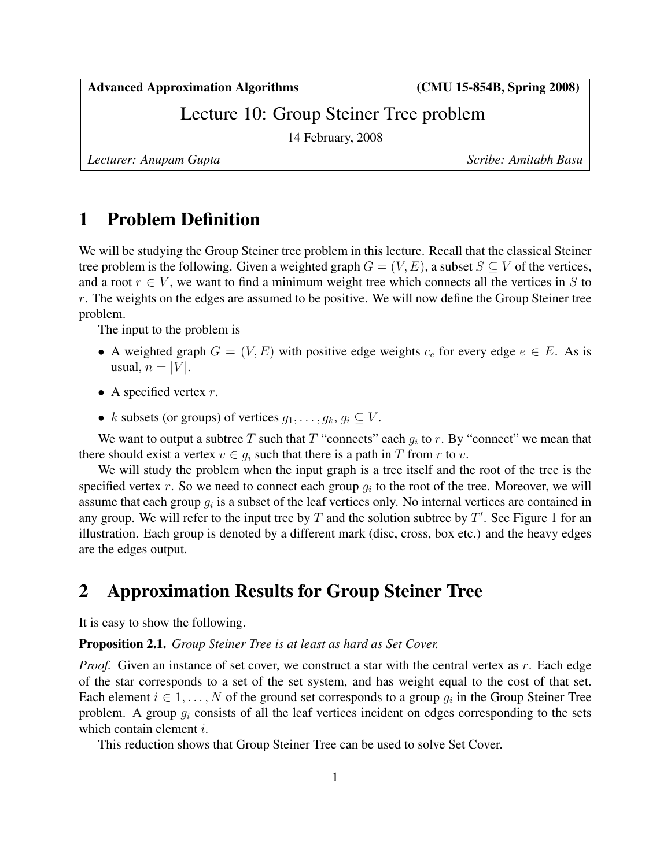Advanced Approximation Algorithms (CMU 15-854B, Spring 2008)

Lecture 10: Group Steiner Tree problem

14 February, 2008

*Lecturer: Anupam Gupta Scribe: Amitabh Basu*

 $\Box$ 

## 1 Problem Definition

We will be studying the Group Steiner tree problem in this lecture. Recall that the classical Steiner tree problem is the following. Given a weighted graph  $G = (V, E)$ , a subset  $S \subseteq V$  of the vertices, and a root  $r \in V$ , we want to find a minimum weight tree which connects all the vertices in S to  $r$ . The weights on the edges are assumed to be positive. We will now define the Group Steiner tree problem.

The input to the problem is

- A weighted graph  $G = (V, E)$  with positive edge weights  $c_e$  for every edge  $e \in E$ . As is usual,  $n = |V|$ .
- A specified vertex  $r$ .
- k subsets (or groups) of vertices  $g_1, \ldots, g_k, g_i \subseteq V$ .

We want to output a subtree T such that T "connects" each  $g_i$  to r. By "connect" we mean that there should exist a vertex  $v \in g_i$  such that there is a path in T from r to v.

We will study the problem when the input graph is a tree itself and the root of the tree is the specified vertex r. So we need to connect each group  $g_i$  to the root of the tree. Moreover, we will assume that each group  $g_i$  is a subset of the leaf vertices only. No internal vertices are contained in any group. We will refer to the input tree by  $T$  and the solution subtree by  $T'$ . See Figure 1 for an illustration. Each group is denoted by a different mark (disc, cross, box etc.) and the heavy edges are the edges output.

# 2 Approximation Results for Group Steiner Tree

It is easy to show the following.

#### Proposition 2.1. *Group Steiner Tree is at least as hard as Set Cover.*

*Proof.* Given an instance of set cover, we construct a star with the central vertex as r. Each edge of the star corresponds to a set of the set system, and has weight equal to the cost of that set. Each element  $i \in 1, ..., N$  of the ground set corresponds to a group  $g_i$  in the Group Steiner Tree problem. A group  $g_i$  consists of all the leaf vertices incident on edges corresponding to the sets which contain element *i*.

This reduction shows that Group Steiner Tree can be used to solve Set Cover.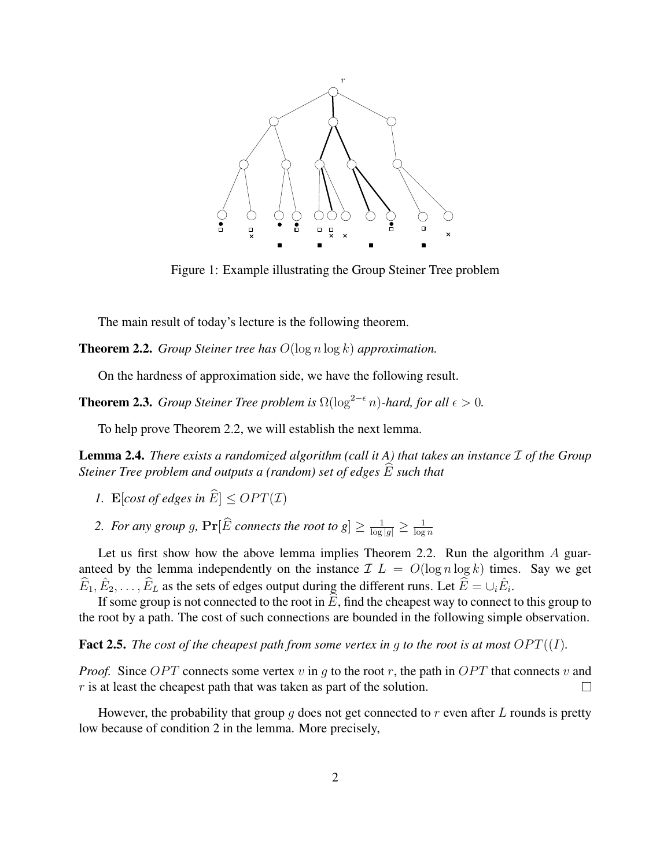

Figure 1: Example illustrating the Group Steiner Tree problem

The main result of today's lecture is the following theorem.

Theorem 2.2. *Group Steiner tree has* O(log n log k) *approximation.*

On the hardness of approximation side, we have the following result.

**Theorem 2.3.** *Group Steiner Tree problem is*  $\Omega(\log^{2-\epsilon} n)$ *-hard, for all*  $\epsilon > 0$ *.* 

To help prove Theorem 2.2, we will establish the next lemma.

**Lemma 2.4.** *There exists a randomized algorithm (call it A) that takes an instance*  $\mathcal I$  *of the Group Steiner Tree problem and outputs a (random) set of edges*  $\widehat{E}$  *such that* 

- *1.* E[cost of edges in  $\widehat{E}$ ]  $\leq$  OPT(*I*)
- 2. For any group g,  $\Pr[\widehat{E}$  connects the root to  $g] \ge \frac{1}{\log|g|} \ge \frac{1}{\log g}$  $\log n$

Let us first show how the above lemma implies Theorem 2.2. Run the algorithm A guaranteed by the lemma independently on the instance  $\mathcal{I} L = O(\log n \log k)$  times. Say we get  $\widehat{E}_1, \widehat{E}_2, \ldots, \widehat{E}_L$  as the sets of edges output during the different runs. Let  $\widehat{E} = \cup_i \widehat{E}_i$ .

If some group is not connected to the root in  $E$ , find the cheapest way to connect to this group to the root by a path. The cost of such connections are bounded in the following simple observation.

**Fact 2.5.** *The cost of the cheapest path from some vertex in g to the root is at most*  $OPT((I))$ *.* 

*Proof.* Since  $OPT$  connects some vertex v in g to the root r, the path in  $OPT$  that connects v and  $r$  is at least the cheapest path that was taken as part of the solution.  $\Box$ 

However, the probability that group g does not get connected to r even after L rounds is pretty low because of condition 2 in the lemma. More precisely,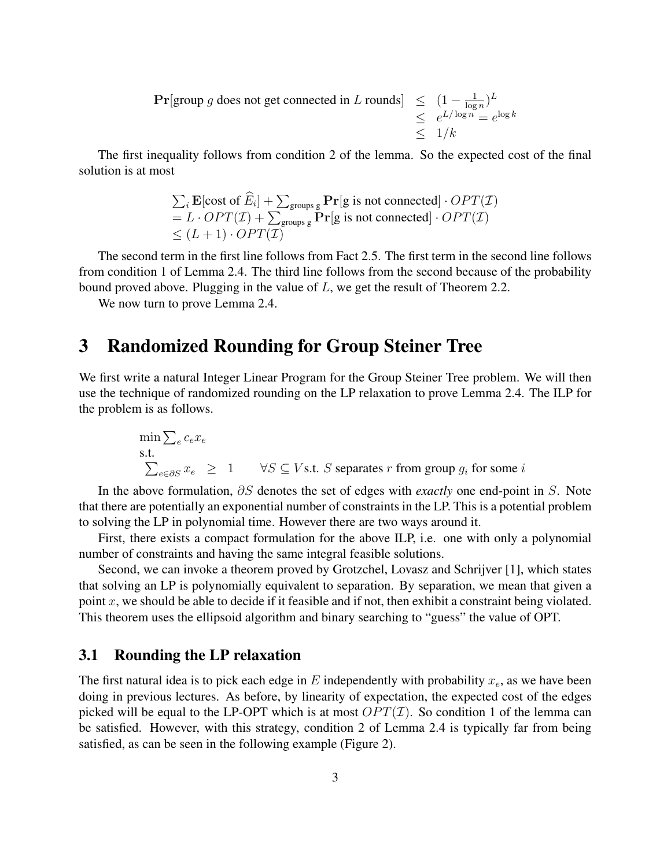**Pr**[group g does not get connected in L rounds]  $\leq (1 - \frac{1}{\log n})$  $\frac{1}{\log n}$ <sup>L</sup>  $\leq e^{L/\log n} = e^{\log k}$  $\leq 1/k$ 

The first inequality follows from condition 2 of the lemma. So the expected cost of the final solution is at most

$$
\sum_{i} \mathbf{E}[\text{cost of } \widehat{E}_{i}] + \sum_{\text{groups g}} \mathbf{Pr}[\text{g is not connected}] \cdot OPT(\mathcal{I})
$$
  
=  $L \cdot OPT(\mathcal{I}) + \sum_{\text{groups g}} \mathbf{Pr}[\text{g is not connected}] \cdot OPT(\mathcal{I})$   
 $\leq (L+1) \cdot OPT(\mathcal{I})$ 

The second term in the first line follows from Fact 2.5. The first term in the second line follows from condition 1 of Lemma 2.4. The third line follows from the second because of the probability bound proved above. Plugging in the value of  $L$ , we get the result of Theorem 2.2.

We now turn to prove Lemma 2.4.

## 3 Randomized Rounding for Group Steiner Tree

We first write a natural Integer Linear Program for the Group Steiner Tree problem. We will then use the technique of randomized rounding on the LP relaxation to prove Lemma 2.4. The ILP for the problem is as follows.

$$
\min \sum_{e \in \partial S} c_e x_e
$$
\ns.t.

\n
$$
\sum_{e \in \partial S} x_e \geq 1 \quad \forall S \subseteq V \text{ s.t. } S \text{ separates } r \text{ from group } g_i \text{ for some } i
$$

In the above formulation, ∂S denotes the set of edges with *exactly* one end-point in S. Note that there are potentially an exponential number of constraints in the LP. This is a potential problem to solving the LP in polynomial time. However there are two ways around it.

First, there exists a compact formulation for the above ILP, i.e. one with only a polynomial number of constraints and having the same integral feasible solutions.

Second, we can invoke a theorem proved by Grotzchel, Lovasz and Schrijver [1], which states that solving an LP is polynomially equivalent to separation. By separation, we mean that given a point  $x$ , we should be able to decide if it feasible and if not, then exhibit a constraint being violated. This theorem uses the ellipsoid algorithm and binary searching to "guess" the value of OPT.

#### 3.1 Rounding the LP relaxation

The first natural idea is to pick each edge in E independently with probability  $x_e$ , as we have been doing in previous lectures. As before, by linearity of expectation, the expected cost of the edges picked will be equal to the LP-OPT which is at most  $OPT(\mathcal{I})$ . So condition 1 of the lemma can be satisfied. However, with this strategy, condition 2 of Lemma 2.4 is typically far from being satisfied, as can be seen in the following example (Figure 2).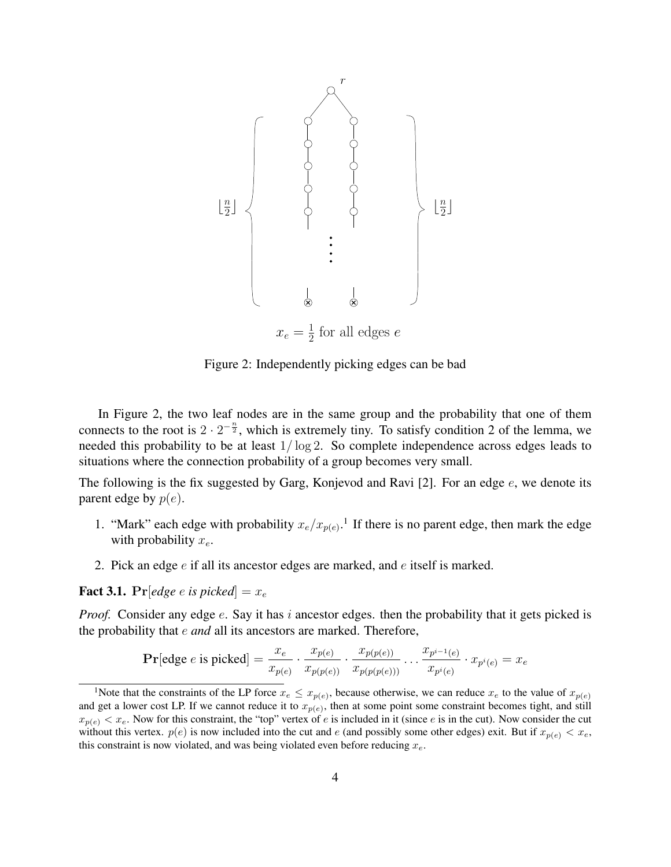

Figure 2: Independently picking edges can be bad

In Figure 2, the two leaf nodes are in the same group and the probability that one of them connects to the root is  $2 \cdot 2^{-\frac{n}{2}}$ , which is extremely tiny. To satisfy condition 2 of the lemma, we needed this probability to be at least 1/ log 2. So complete independence across edges leads to situations where the connection probability of a group becomes very small.

The following is the fix suggested by Garg, Konjevod and Ravi [2]. For an edge  $e$ , we denote its parent edge by  $p(e)$ .

- 1. "Mark" each edge with probability  $x_e/x_{p(e)}$ .<sup>1</sup> If there is no parent edge, then mark the edge with probability  $x_e$ .
- 2. Pick an edge e if all its ancestor edges are marked, and e itself is marked.

**Fact 3.1.** Pr[*edge e is picked*] =  $x_e$ 

*Proof.* Consider any edge e. Say it has i ancestor edges. then the probability that it gets picked is the probability that e *and* all its ancestors are marked. Therefore,

**Pr**[edge *e* is picked] = 
$$
\frac{x_e}{x_{p(e)}} \cdot \frac{x_{p(e)}}{x_{p(p(e))}} \cdot \frac{x_{p(p(e))}}{x_{p(p(p(e)))}} \dots \frac{x_{p^{i-1}(e)}}{x_{p^{i}(e)}} \cdot x_{p^{i}(e)} = x_e
$$

<sup>&</sup>lt;sup>1</sup>Note that the constraints of the LP force  $x_e \leq x_{p(e)}$ , because otherwise, we can reduce  $x_e$  to the value of  $x_{p(e)}$ and get a lower cost LP. If we cannot reduce it to  $x_{p(e)}$ , then at some point some constraint becomes tight, and still  $x_{p(e)} < x_e$ . Now for this constraint, the "top" vertex of e is included in it (since e is in the cut). Now consider the cut without this vertex.  $p(e)$  is now included into the cut and e (and possibly some other edges) exit. But if  $x_{p(e)} < x_e$ , this constraint is now violated, and was being violated even before reducing  $x_e$ .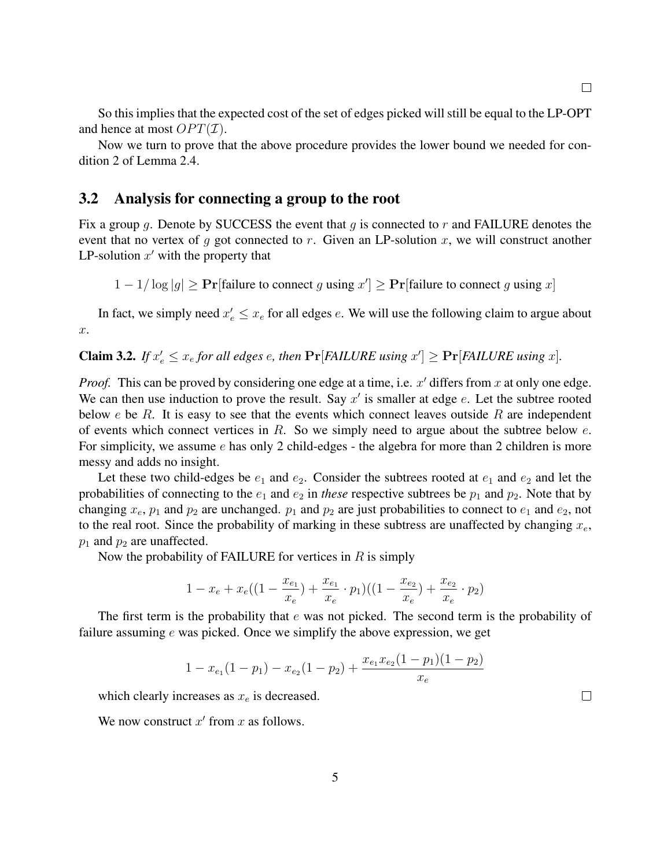$\Box$ 

So this implies that the expected cost of the set of edges picked will still be equal to the LP-OPT and hence at most  $OPT(\mathcal{I})$ .

Now we turn to prove that the above procedure provides the lower bound we needed for condition 2 of Lemma 2.4.

#### 3.2 Analysis for connecting a group to the root

Fix a group g. Denote by SUCCESS the event that g is connected to r and FAILURE denotes the event that no vertex of q got connected to r. Given an LP-solution x, we will construct another LP-solution  $x'$  with the property that

 $1 - 1/\log|g| \geq \Pr[\text{failure to connect } g \text{ using } x'] \geq \Pr[\text{failure to connect } g \text{ using } x]$ 

In fact, we simply need  $x'_e \leq x_e$  for all edges e. We will use the following claim to argue about  $\overline{x}$ .

**Claim 3.2.** If  $x'_e \leq x_e$  for all edges e, then  $\Pr[FAILURE \text{ using } x'] \geq \Pr[FAILURE \text{ using } x]$ .

*Proof.* This can be proved by considering one edge at a time, i.e.  $x'$  differs from  $x$  at only one edge. We can then use induction to prove the result. Say  $x'$  is smaller at edge  $e$ . Let the subtree rooted below  $e$  be  $R$ . It is easy to see that the events which connect leaves outside  $R$  are independent of events which connect vertices in R. So we simply need to argue about the subtree below  $e$ . For simplicity, we assume e has only 2 child-edges - the algebra for more than 2 children is more messy and adds no insight.

Let these two child-edges be  $e_1$  and  $e_2$ . Consider the subtrees rooted at  $e_1$  and  $e_2$  and let the probabilities of connecting to the  $e_1$  and  $e_2$  in *these* respective subtrees be  $p_1$  and  $p_2$ . Note that by changing  $x_e$ ,  $p_1$  and  $p_2$  are unchanged.  $p_1$  and  $p_2$  are just probabilities to connect to  $e_1$  and  $e_2$ , not to the real root. Since the probability of marking in these subtress are unaffected by changing  $x_e$ ,  $p_1$  and  $p_2$  are unaffected.

Now the probability of FAILURE for vertices in  $R$  is simply

$$
1 - x_e + x_e((1 - \frac{x_{e_1}}{x_e}) + \frac{x_{e_1}}{x_e} \cdot p_1)((1 - \frac{x_{e_2}}{x_e}) + \frac{x_{e_2}}{x_e} \cdot p_2)
$$

The first term is the probability that  $e$  was not picked. The second term is the probability of failure assuming  $e$  was picked. Once we simplify the above expression, we get

$$
1 - x_{e_1}(1 - p_1) - x_{e_2}(1 - p_2) + \frac{x_{e_1}x_{e_2}(1 - p_1)(1 - p_2)}{x_e}
$$

which clearly increases as  $x_e$  is decreased.

We now construct  $x'$  from  $x$  as follows.

 $\Box$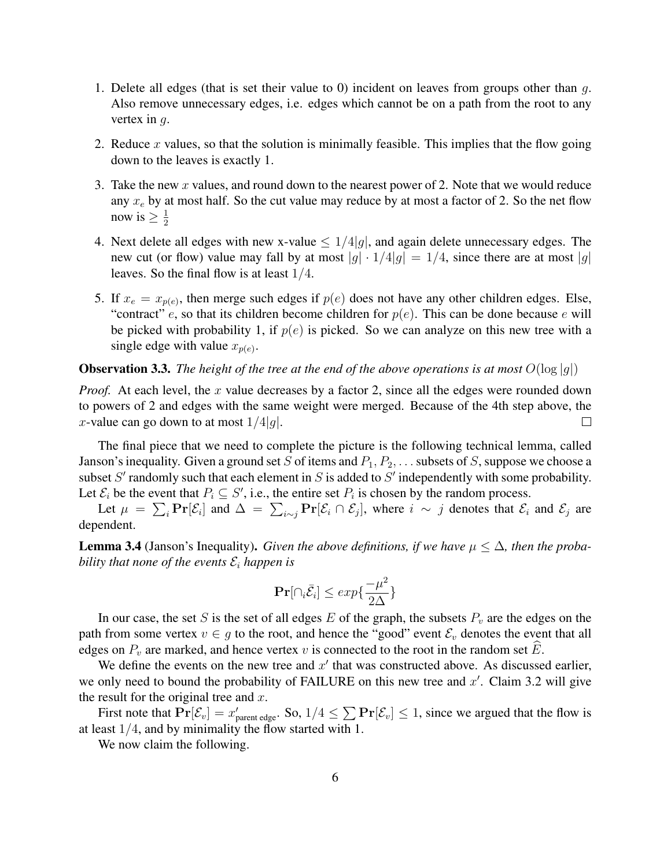- 1. Delete all edges (that is set their value to 0) incident on leaves from groups other than  $q$ . Also remove unnecessary edges, i.e. edges which cannot be on a path from the root to any vertex in  $q$ .
- 2. Reduce x values, so that the solution is minimally feasible. This implies that the flow going down to the leaves is exactly 1.
- 3. Take the new x values, and round down to the nearest power of 2. Note that we would reduce any  $x_e$  by at most half. So the cut value may reduce by at most a factor of 2. So the net flow now is  $\geq \frac{1}{2}$ 2
- 4. Next delete all edges with new x-value  $\leq 1/4|q|$ , and again delete unnecessary edges. The new cut (or flow) value may fall by at most  $|g| \cdot 1/4|g| = 1/4$ , since there are at most  $|g|$ leaves. So the final flow is at least 1/4.
- 5. If  $x_e = x_{p(e)}$ , then merge such edges if  $p(e)$  does not have any other children edges. Else, "contract" e, so that its children become children for  $p(e)$ . This can be done because e will be picked with probability 1, if  $p(e)$  is picked. So we can analyze on this new tree with a single edge with value  $x_{p(e)}$ .

**Observation 3.3.** *The height of the tree at the end of the above operations is at most*  $O(\log |q|)$ 

*Proof.* At each level, the x value decreases by a factor 2, since all the edges were rounded down to powers of 2 and edges with the same weight were merged. Because of the 4th step above, the x-value can go down to at most  $1/4|q|$ .  $\Box$ 

The final piece that we need to complete the picture is the following technical lemma, called Janson's inequality. Given a ground set S of items and  $P_1, P_2, \ldots$  subsets of S, suppose we choose a subset  $S'$  randomly such that each element in  $S$  is added to  $S'$  independently with some probability. Let  $\mathcal{E}_i$  be the event that  $P_i \subseteq S'$ , i.e., the entire set  $P_i$  is chosen by the random process.

Let  $\mu = \sum_i \Pr[\mathcal{E}_i]$  and  $\Delta = \sum_{i \sim j} \Pr[\mathcal{E}_i \cap \mathcal{E}_j]$ , where  $i \sim j$  denotes that  $\mathcal{E}_i$  and  $\mathcal{E}_j$  are dependent.

**Lemma 3.4** (Janson's Inequality). *Given the above definitions, if we have*  $\mu \leq \Delta$ *, then the probability that none of the events*  $\mathcal{E}_i$  *happen is* 

$$
\mathbf{Pr}[\cap_i \bar{\mathcal{E}}_i] \le \exp\{\frac{-\mu^2}{2\Delta}\}
$$

In our case, the set S is the set of all edges E of the graph, the subsets  $P_v$  are the edges on the path from some vertex  $v \in g$  to the root, and hence the "good" event  $\mathcal{E}_v$  denotes the event that all edges on  $P_v$  are marked, and hence vertex v is connected to the root in the random set E.

We define the events on the new tree and  $x'$  that was constructed above. As discussed earlier, we only need to bound the probability of FAILURE on this new tree and  $x'$ . Claim 3.2 will give the result for the original tree and  $x$ .

First note that  $Pr[\mathcal{E}_v] = x'_{\text{parent edge}}$ . So,  $1/4 \le \sum Pr[\mathcal{E}_v] \le 1$ , since we argued that the flow is at least 1/4, and by minimality the flow started with 1.

We now claim the following.